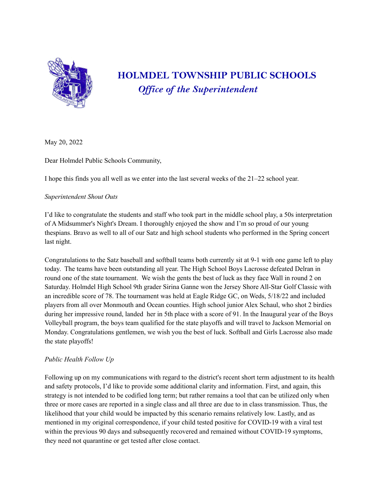

## **HOLMDEL TOWNSHIP PUBLIC SCHOOLS** *Of ice of the Superintendent*

May 20, 2022

Dear Holmdel Public Schools Community,

I hope this finds you all well as we enter into the last several weeks of the 21–22 school year.

## *Superintendent Shout Outs*

I'd like to congratulate the students and staff who took part in the middle school play, a 50s interpretation of A Midsummer's Night's Dream. I thoroughly enjoyed the show and I'm so proud of our young thespians. Bravo as well to all of our Satz and high school students who performed in the Spring concert last night.

Congratulations to the Satz baseball and softball teams both currently sit at 9-1 with one game left to play today. The teams have been outstanding all year. The High School Boys Lacrosse defeated Delran in round one of the state tournament. We wish the gents the best of luck as they face Wall in round 2 on Saturday. Holmdel High School 9th grader Sirina Ganne won the Jersey Shore All-Star Golf Classic with an incredible score of 78. The tournament was held at Eagle Ridge GC, on Weds, 5/18/22 and included players from all over Monmouth and Ocean counties. High school junior Alex Schaul, who shot 2 birdies during her impressive round, landed her in 5th place with a score of 91. In the Inaugural year of the Boys Volleyball program, the boys team qualified for the state playoffs and will travel to Jackson Memorial on Monday. Congratulations gentlemen, we wish you the best of luck. Softball and Girls Lacrosse also made the state playoffs!

## *Public Health Follow Up*

Following up on my communications with regard to the district's recent short term adjustment to its health and safety protocols, I'd like to provide some additional clarity and information. First, and again, this strategy is not intended to be codified long term; but rather remains a tool that can be utilized only when three or more cases are reported in a single class and all three are due to in class transmission. Thus, the likelihood that your child would be impacted by this scenario remains relatively low. Lastly, and as mentioned in my original correspondence, if your child tested positive for COVID-19 with a viral test within the previous 90 days and subsequently recovered and remained without COVID-19 symptoms, they need not quarantine or get tested after close contact.